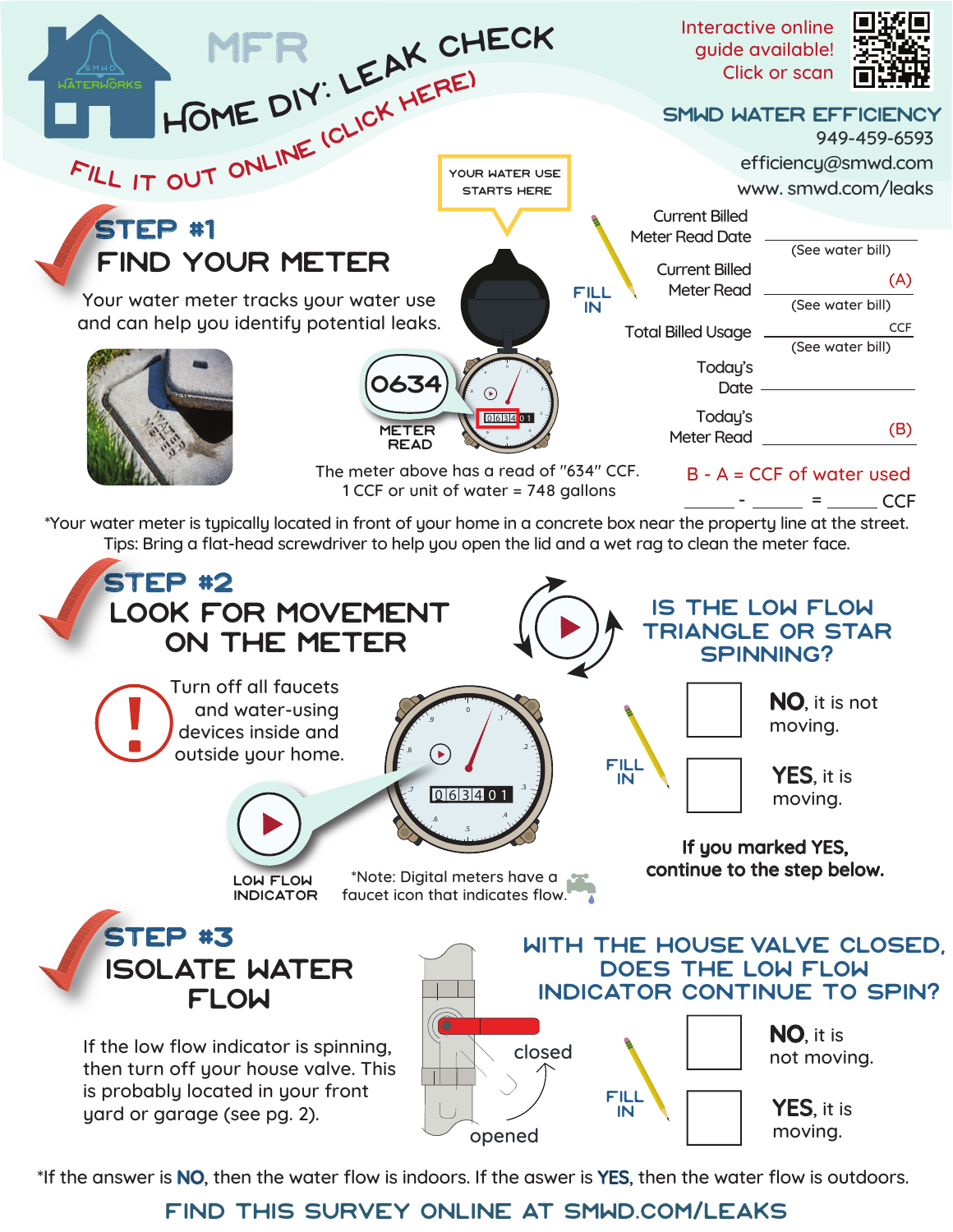

\*If the answer is NO, then the water flow is indoors. If the aswer is YES, then the water flow is outdoors.

## find this survey online at [smwd.com/leaks](https://www.smwd.com/168/Leak-Detection)